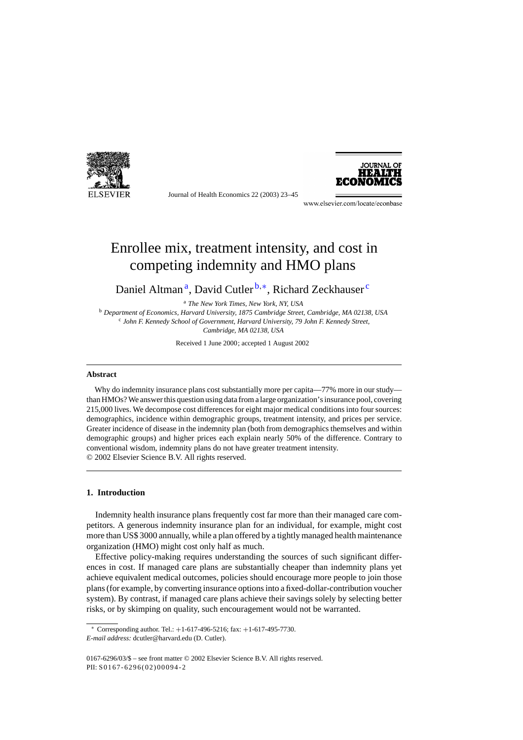

Journal of Health Economics 22 (2003) 23–45



www.elsevier.com/locate/econbase

# Enrollee mix, treatment intensity, and cost in competing indemnity and HMO plans

Daniel Altman<sup>a</sup>, David Cutler<sup>b,∗</sup>, Richard Zeckhauser<sup>c</sup>

<sup>a</sup> *The New York Times, New York, NY, USA*

<sup>b</sup> *Department of Economics, Harvard University, 1875 Cambridge Street, Cambridge, MA 02138, USA* <sup>c</sup> *John F. Kennedy School of Government, Harvard University, 79 John F. Kennedy Street, Cambridge, MA 02138, USA*

Received 1 June 2000; accepted 1 August 2002

#### **Abstract**

Why do indemnity insurance plans cost substantially more per capita—77% more in our study than HMOs? We answer this question using data from a large organization's insurance pool, covering 215,000 lives. We decompose cost differences for eight major medical conditions into four sources: demographics, incidence within demographic groups, treatment intensity, and prices per service. Greater incidence of disease in the indemnity plan (both from demographics themselves and within demographic groups) and higher prices each explain nearly 50% of the difference. Contrary to conventional wisdom, indemnity plans do not have greater treatment intensity. © 2002 Elsevier Science B.V. All rights reserved.

# **1. Introduction**

Indemnity health insurance plans frequently cost far more than their managed care competitors. A generous indemnity insurance plan for an individual, for example, might cost more than US\$ 3000 annually, while a plan offered by a tightly managed health maintenance organization (HMO) might cost only half as much.

Effective policy-making requires understanding the sources of such significant differences in cost. If managed care plans are substantially cheaper than indemnity plans yet achieve equivalent medical outcomes, policies should encourage more people to join those plans (for example, by converting insurance options into a fixed-dollar-contribution voucher system). By contrast, if managed care plans achieve their savings solely by selecting better risks, or by skimping on quality, such encouragement would not be warranted.

<sup>∗</sup> Corresponding author. Tel.: +1-617-496-5216; fax: +1-617-495-7730. *E-mail address:* dcutler@harvard.edu (D. Cutler).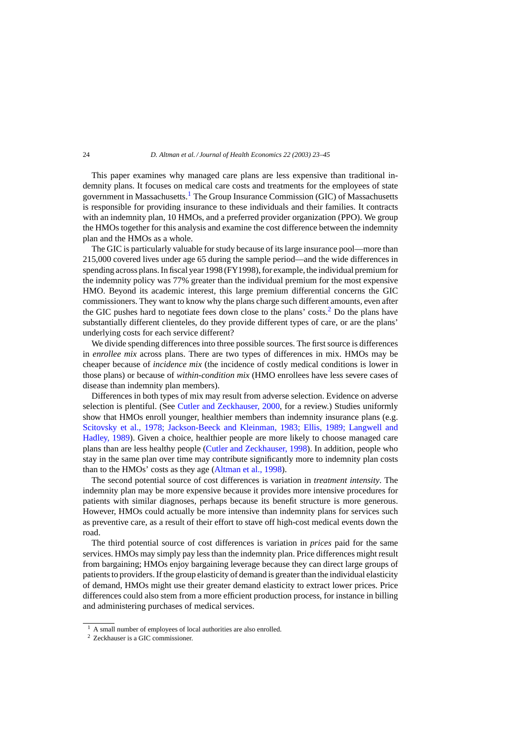This paper examines why managed care plans are less expensive than traditional indemnity plans. It focuses on medical care costs and treatments for the employees of state government in Massachusetts.<sup>1</sup> The Group Insurance Commission (GIC) of Massachusetts is responsible for providing insurance to these individuals and their families. It contracts with an indemnity plan, 10 HMOs, and a preferred provider organization (PPO). We group the HMOs together for this analysis and examine the cost difference between the indemnity plan and the HMOs as a whole.

The GIC is particularly valuable for study because of its large insurance pool—more than 215,000 covered lives under age 65 during the sample period—and the wide differences in spending across plans. In fiscal year 1998 (FY1998), for example, the individual premium for the indemnity policy was 77% greater than the individual premium for the most expensive HMO. Beyond its academic interest, this large premium differential concerns the GIC commissioners. They want to know why the plans charge such different amounts, even after the GIC pushes hard to negotiate fees down close to the plans' costs.<sup>2</sup> Do the plans have substantially different clienteles, do they provide different types of care, or are the plans' underlying costs for each service different?

We divide spending differences into three possible sources. The first source is differences in *enrollee mix* across plans. There are two types of differences in mix. HMOs may be cheaper because of *incidence mix* (the incidence of costly medical conditions is lower in those plans) or because of *within-condition mix* (HMO enrollees have less severe cases of disease than indemnity plan members).

Differences in both types of mix may result from adverse selection. Evidence on adverse selection is plentiful. (See [Cutler and Zeckhauser, 2000,](#page-22-0) for a review.) Studies uniformly show that HMOs enroll younger, healthier members than indemnity insurance plans (e.g. [Scitovsky et al., 1978; Jackson-Beeck and Kleinman, 1983; Ellis, 1989; Langwell a](#page-22-0)nd [Hadley, 1989\).](#page-22-0) Given a choice, healthier people are more likely to choose managed care plans than are less healthy people [\(Cutler and Zeckhauser, 1998\).](#page-22-0) In addition, people who stay in the same plan over time may contribute significantly more to indemnity plan costs than to the HMOs' costs as they age [\(Altman et al., 1998\).](#page-21-0)

The second potential source of cost differences is variation in *treatment intensity*. The indemnity plan may be more expensive because it provides more intensive procedures for patients with similar diagnoses, perhaps because its benefit structure is more generous. However, HMOs could actually be more intensive than indemnity plans for services such as preventive care, as a result of their effort to stave off high-cost medical events down the road.

The third potential source of cost differences is variation in *prices* paid for the same services. HMOs may simply pay less than the indemnity plan. Price differences might result from bargaining; HMOs enjoy bargaining leverage because they can direct large groups of patients to providers. If the group elasticity of demand is greater than the individual elasticity of demand, HMOs might use their greater demand elasticity to extract lower prices. Price differences could also stem from a more efficient production process, for instance in billing and administering purchases of medical services.

<sup>&</sup>lt;sup>1</sup> A small number of employees of local authorities are also enrolled.

<sup>2</sup> Zeckhauser is a GIC commissioner.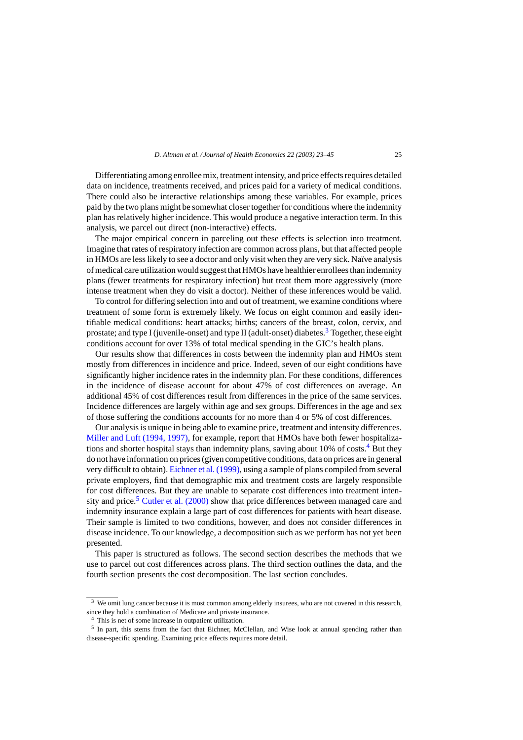Differentiating among enrollee mix, treatment intensity, and price effects requires detailed data on incidence, treatments received, and prices paid for a variety of medical conditions. There could also be interactive relationships among these variables. For example, prices paid by the two plans might be somewhat closer together for conditions where the indemnity plan has relatively higher incidence. This would produce a negative interaction term. In this analysis, we parcel out direct (non-interactive) effects.

The major empirical concern in parceling out these effects is selection into treatment. Imagine that rates of respiratory infection are common across plans, but that affected people in HMOs are less likely to see a doctor and only visit when they are very sick. Naïve analysis of medical care utilization would suggest that HMOs have healthier enrollees than indemnity plans (fewer treatments for respiratory infection) but treat them more aggressively (more intense treatment when they do visit a doctor). Neither of these inferences would be valid.

To control for differing selection into and out of treatment, we examine conditions where treatment of some form is extremely likely. We focus on eight common and easily identifiable medical conditions: heart attacks; births; cancers of the breast, colon, cervix, and prostate; and type I (juvenile-onset) and type II (adult-onset) diabetes.<sup>3</sup> Together, these eight conditions account for over 13% of total medical spending in the GIC's health plans.

Our results show that differences in costs between the indemnity plan and HMOs stem mostly from differences in incidence and price. Indeed, seven of our eight conditions have significantly higher incidence rates in the indemnity plan. For these conditions, differences in the incidence of disease account for about 47% of cost differences on average. An additional 45% of cost differences result from differences in the price of the same services. Incidence differences are largely within age and sex groups. Differences in the age and sex of those suffering the conditions accounts for no more than 4 or 5% of cost differences.

Our analysis is unique in being able to examine price, treatment and intensity differences. [Miller and Luft \(1994, 1997\), f](#page-22-0)or example, report that HMOs have both fewer hospitalizations and shorter hospital stays than indemnity plans, saving about 10% of costs.<sup>4</sup> But they do not have information on prices (given competitive conditions, data on prices are in general very difficult to obtain). [Eichner et al. \(1999\), u](#page-22-0)sing a sample of plans compiled from several private employers, find that demographic mix and treatment costs are largely responsible for cost differences. But they are unable to separate cost differences into treatment intensity and price.<sup>5</sup> Cutler et al.  $(2000)$  show that price differences between managed care and indemnity insurance explain a large part of cost differences for patients with heart disease. Their sample is limited to two conditions, however, and does not consider differences in disease incidence. To our knowledge, a decomposition such as we perform has not yet been presented.

This paper is structured as follows. The second section describes the methods that we use to parcel out cost differences across plans. The third section outlines the data, and the fourth section presents the cost decomposition. The last section concludes.

<sup>&</sup>lt;sup>3</sup> We omit lung cancer because it is most common among elderly insurees, who are not covered in this research, since they hold a combination of Medicare and private insurance.

<sup>4</sup> This is net of some increase in outpatient utilization.

<sup>5</sup> In part, this stems from the fact that Eichner, McClellan, and Wise look at annual spending rather than disease-specific spending. Examining price effects requires more detail.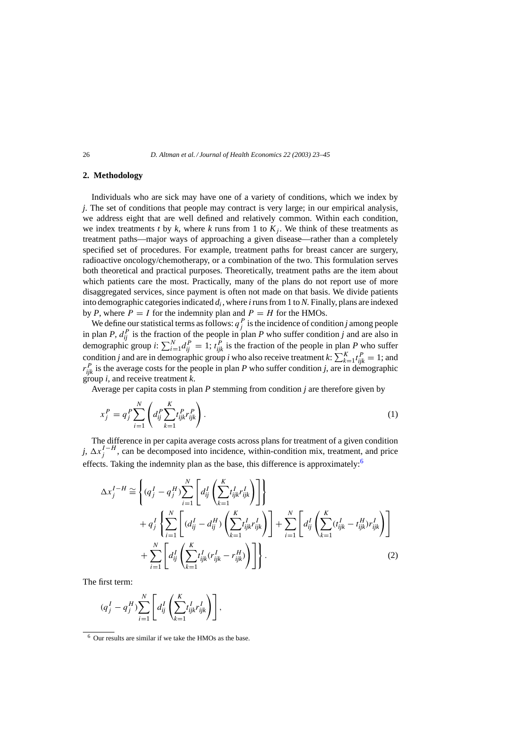# <span id="page-3-0"></span>**2. Methodology**

Individuals who are sick may have one of a variety of conditions, which we index by *j*. The set of conditions that people may contract is very large; in our empirical analysis, we address eight that are well defined and relatively common. Within each condition, we index treatments *t* by *k*, where *k* runs from 1 to  $K_j$ . We think of these treatments as treatment paths—major ways of approaching a given disease—rather than a completely specified set of procedures. For example, treatment paths for breast cancer are surgery, radioactive oncology/chemotherapy, or a combination of the two. This formulation serves both theoretical and practical purposes. Theoretically, treatment paths are the item about which patients care the most. Practically, many of the plans do not report use of more disaggregated services, since payment is often not made on that basis. We divide patients into demographic categories indicated *d*i, where *i*runs from 1 to*N.* Finally, plans are indexed by *P*, where  $P = I$  for the indemnity plan and  $P = H$  for the HMOs.

We define our statistical terms as follows:  $q_j^P$  is the incidence of condition *j* among people in plan *P*,  $d_{ij}^P$  is the fraction of the people in plan *P* who suffer condition *j* and are also in demographic group *i*:  $\sum_{i=1}^{N} d_{ij}^{P} = 1$ ;  $t_{ijk}^{P}$  is the fraction of the people in plan *P* who suffer condition *j* and are in demographic group *i* who also receive treatment *k*:  $\sum_{k=1}^{K} t_{ijk}^P = 1$ ; and  $r_{ijk}^P$  is the average costs for the people in plan *P* who suffer condition *j*, are in demographic group *i*, and receive treatment *k*.

Average per capita costs in plan *P* stemming from condition *j* are therefore given by

$$
x_j^P = q_j^P \sum_{i=1}^N \left( d_{ij}^P \sum_{k=1}^K t_{ijk}^P r_{ijk}^P \right). \tag{1}
$$

The difference in per capita average costs across plans for treatment of a given condition *j*,  $\Delta x_j^{I-H}$ , can be decomposed into incidence, within-condition mix, treatment, and price effects. Taking the indemnity plan as the base, this difference is approximately: $\frac{6}{5}$ 

$$
\Delta x_j^{I-H} \cong \left\{ (q_j^I - q_j^H) \sum_{i=1}^N \left[ d_{ij}^I \left( \sum_{k=1}^K t_{ijk}^I r_{ijk}^I \right) \right] \right\} \n+ q_j^I \left\{ \sum_{i=1}^N \left[ (d_{ij}^I - d_{ij}^H) \left( \sum_{k=1}^K t_{ijk}^I r_{ijk}^I \right) \right] + \sum_{i=1}^N \left[ d_{ij}^I \left( \sum_{k=1}^K (t_{ijk}^I - t_{ijk}^H) r_{ijk}^I \right) \right] \right. \n+ \sum_{i=1}^N \left[ d_{ij}^I \left( \sum_{k=1}^K t_{ijk}^I (r_{ijk}^I - r_{ijk}^H) \right) \right] \right\}.
$$
\n(2)

The first term:

$$
(q_j^I - q_j^H) \sum_{i=1}^N \left[ d_{ij}^I \left( \sum_{k=1}^K t_{ijk}^I r_{ijk}^I \right) \right],
$$

<sup>6</sup> Our results are similar if we take the HMOs as the base.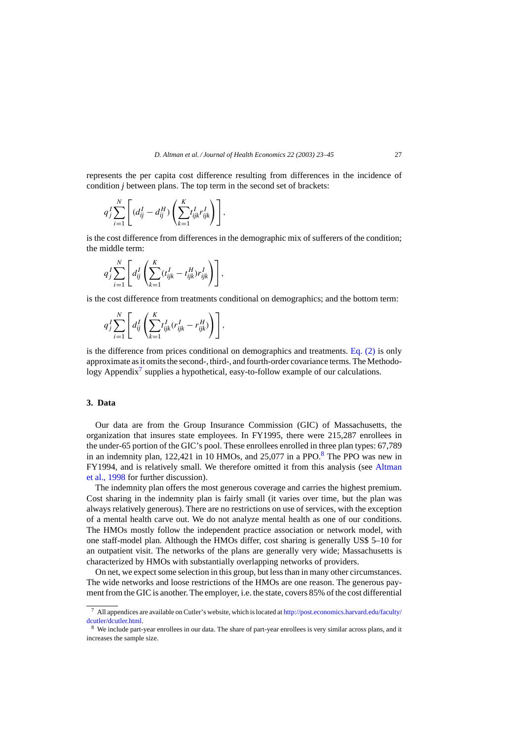represents the per capita cost difference resulting from differences in the incidence of condition *j* between plans. The top term in the second set of brackets:

$$
q_j^I \sum_{i=1}^N \left[ (d_{ij}^I - d_{ij}^H) \left( \sum_{k=1}^K t_{ijk}^I r_{ijk}^I \right) \right],
$$

is the cost difference from differences in the demographic mix of sufferers of the condition; the middle term:

$$
q_j^I \sum_{i=1}^N \left[ d_{ij}^I \left( \sum_{k=1}^K (t_{ijk}^I - t_{ijk}^H) r_{ijk}^I \right) \right],
$$

is the cost difference from treatments conditional on demographics; and the bottom term:

$$
q_j^I \sum_{i=1}^N \left[ d_{ij}^I \left( \sum_{k=1}^K t_{ijk}^I (r_{ijk}^I - r_{ijk}^H) \right) \right],
$$

is the difference from prices conditional on demographics and treatments. [Eq. \(2\)](#page-3-0) is only approximate as it omits the second-, third-, and fourth-order covariance terms. The Methodology Appendix<sup>7</sup> supplies a hypothetical, easy-to-follow example of our calculations.

# **3. Data**

Our data are from the Group Insurance Commission (GIC) of Massachusetts, the organization that insures state employees. In FY1995, there were 215,287 enrollees in the under-65 portion of the GIC's pool. These enrollees enrolled in three plan types: 67,789 in an indemnity plan,  $122,421$  in 10 HMOs, and  $25,077$  in a PPO.<sup>8</sup> The PPO was new in FY1994, and is relatively small. We therefore omitted it from this analysis (see [Altman](#page-21-0) [et al., 1998](#page-21-0) for further discussion).

The indemnity plan offers the most generous coverage and carries the highest premium. Cost sharing in the indemnity plan is fairly small (it varies over time, but the plan was always relatively generous). There are no restrictions on use of services, with the exception of a mental health carve out. We do not analyze mental health as one of our conditions. The HMOs mostly follow the independent practice association or network model, with one staff-model plan. Although the HMOs differ, cost sharing is generally US\$ 5–10 for an outpatient visit. The networks of the plans are generally very wide; Massachusetts is characterized by HMOs with substantially overlapping networks of providers.

On net, we expect some selection in this group, but less than in many other circumstances. The wide networks and loose restrictions of the HMOs are one reason. The generous payment from the GIC is another. The employer, i.e. the state, covers 85% of the cost differential

 $^7$  All appendices are available on Cutler's website, which is located at [http://post.economics.harvard.edu/faculty/](http://post.economics.harvard.edu/faculty/dcutler/dcutler.html) [dcutler/dcutler.html](http://post.economics.harvard.edu/faculty/dcutler/dcutler.html).

<sup>8</sup> We include part-year enrollees in our data. The share of part-year enrollees is very similar across plans, and it increases the sample size.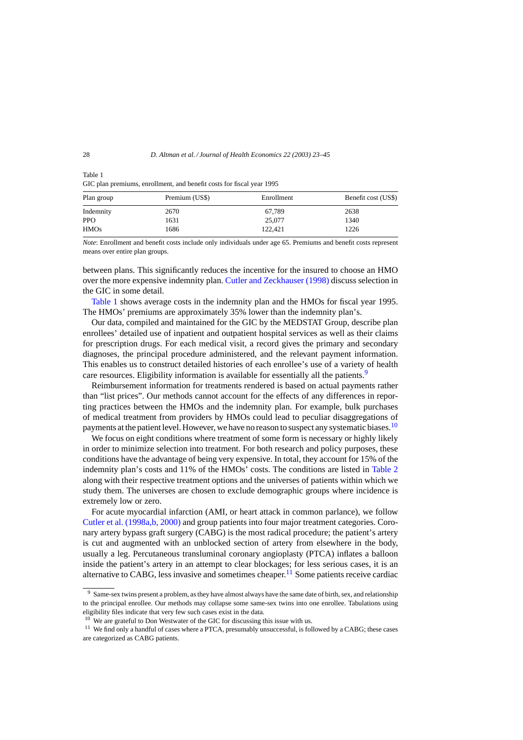| Plan group  | Premium (US\$) | Enrollment | Benefit cost (US\$) |
|-------------|----------------|------------|---------------------|
| Indemnity   | 2670           | 67,789     | 2638                |
| <b>PPO</b>  | 1631           | 25,077     | 1340                |
| <b>HMOs</b> | 1686           | 122.421    | 1226                |

Table 1 GIC plan premiums, enrollment, and benefit costs for fiscal year 1995

*Note*: Enrollment and benefit costs include only individuals under age 65. Premiums and benefit costs represent means over entire plan groups.

between plans. This significantly reduces the incentive for the insured to choose an HMO over the more expensive indemnity plan. [Cutler and Zeckhauser \(1998\)](#page-22-0) discuss selection in the GIC in some detail.

Table 1 shows average costs in the indemnity plan and the HMOs for fiscal year 1995. The HMOs' premiums are approximately 35% lower than the indemnity plan's.

Our data, compiled and maintained for the GIC by the MEDSTAT Group, describe plan enrollees' detailed use of inpatient and outpatient hospital services as well as their claims for prescription drugs. For each medical visit, a record gives the primary and secondary diagnoses, the principal procedure administered, and the relevant payment information. This enables us to construct detailed histories of each enrollee's use of a variety of health care resources. Eligibility information is available for essentially all the patients.<sup>9</sup>

Reimbursement information for treatments rendered is based on actual payments rather than "list prices". Our methods cannot account for the effects of any differences in reporting practices between the HMOs and the indemnity plan. For example, bulk purchases of medical treatment from providers by HMOs could lead to peculiar disaggregations of payments at the patient level. However, we have no reason to suspect any systematic biases.<sup>10</sup>

We focus on eight conditions where treatment of some form is necessary or highly likely in order to minimize selection into treatment. For both research and policy purposes, these conditions have the advantage of being very expensive. In total, they account for 15% of the indemnity plan's costs and 11% of the HMOs' costs. The conditions are listed in [Table 2](#page-6-0) along with their respective treatment options and the universes of patients within which we study them. The universes are chosen to exclude demographic groups where incidence is extremely low or zero.

For acute myocardial infarction (AMI, or heart attack in common parlance), we follow [Cutler et al. \(1998a,b, 2000\)](#page-22-0) and group patients into four major treatment categories. Coronary artery bypass graft surgery (CABG) is the most radical procedure; the patient's artery is cut and augmented with an unblocked section of artery from elsewhere in the body, usually a leg. Percutaneous transluminal coronary angioplasty (PTCA) inflates a balloon inside the patient's artery in an attempt to clear blockages; for less serious cases, it is an alternative to CABG, less invasive and sometimes cheaper.<sup>11</sup> Some patients receive cardiac

<sup>9</sup> Same-sex twins present a problem, as they have almost always have the same date of birth, sex, and relationship to the principal enrollee. Our methods may collapse some same-sex twins into one enrollee. Tabulations using eligibility files indicate that very few such cases exist in the data.

<sup>10</sup> We are grateful to Don Westwater of the GIC for discussing this issue with us.

 $11$  We find only a handful of cases where a PTCA, presumably unsuccessful, is followed by a CABG; these cases are categorized as CABG patients.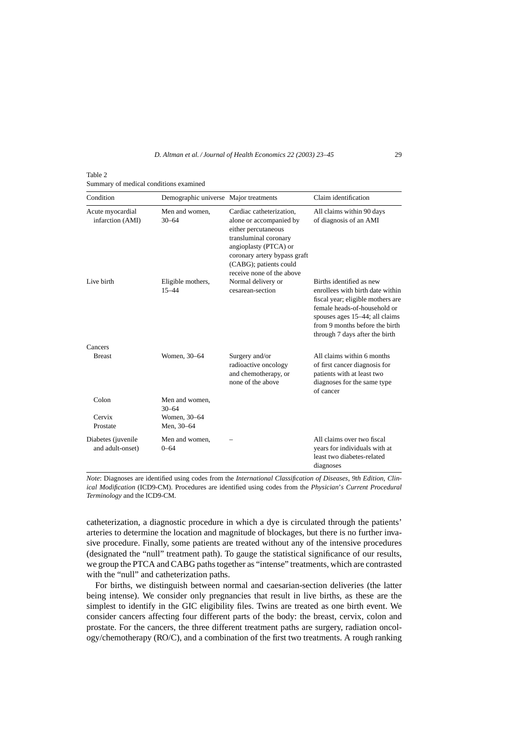| Condition                              | Demographic universe Major treatments                     |                                                                                                                                                                                                                     | Claim identification                                                                                                                                                                                                                    |
|----------------------------------------|-----------------------------------------------------------|---------------------------------------------------------------------------------------------------------------------------------------------------------------------------------------------------------------------|-----------------------------------------------------------------------------------------------------------------------------------------------------------------------------------------------------------------------------------------|
| Acute myocardial<br>infarction (AMI)   | Men and women,<br>$30 - 64$                               | Cardiac catheterization.<br>alone or accompanied by<br>either percutaneous<br>transluminal coronary<br>angioplasty (PTCA) or<br>coronary artery bypass graft<br>(CABG); patients could<br>receive none of the above | All claims within 90 days<br>of diagnosis of an AMI                                                                                                                                                                                     |
| Live birth                             | Eligible mothers,<br>$15 - 44$                            | Normal delivery or<br>cesarean-section                                                                                                                                                                              | Births identified as new<br>enrollees with birth date within<br>fiscal year; eligible mothers are<br>female heads-of-household or<br>spouses ages 15–44; all claims<br>from 9 months before the birth<br>through 7 days after the birth |
| Cancers<br><b>Breast</b>               | Women, 30-64                                              | Surgery and/or<br>radioactive oncology<br>and chemotherapy, or<br>none of the above                                                                                                                                 | All claims within 6 months<br>of first cancer diagnosis for<br>patients with at least two<br>diagnoses for the same type<br>of cancer                                                                                                   |
| Colon<br>Cervix<br>Prostate            | Men and women,<br>$30 - 64$<br>Women, 30-64<br>Men, 30-64 |                                                                                                                                                                                                                     |                                                                                                                                                                                                                                         |
| Diabetes (juvenile<br>and adult-onset) | Men and women,<br>$0 - 64$                                |                                                                                                                                                                                                                     | All claims over two fiscal<br>years for individuals with at<br>least two diabetes-related<br>diagnoses                                                                                                                                  |

<span id="page-6-0"></span>Table 2 Summary of medical conditions examined

*Note*: Diagnoses are identified using codes from the *International Classification of Diseases*, *9th Edition*, *Clinical Modification* (ICD9-CM). Procedures are identified using codes from the *Physician*'*s Current Procedural Terminology* and the ICD9-CM.

catheterization, a diagnostic procedure in which a dye is circulated through the patients' arteries to determine the location and magnitude of blockages, but there is no further invasive procedure. Finally, some patients are treated without any of the intensive procedures (designated the "null" treatment path). To gauge the statistical significance of our results, we group the PTCA and CABG paths together as "intense" treatments, which are contrasted with the "null" and catheterization paths.

For births, we distinguish between normal and caesarian-section deliveries (the latter being intense). We consider only pregnancies that result in live births, as these are the simplest to identify in the GIC eligibility files. Twins are treated as one birth event. We consider cancers affecting four different parts of the body: the breast, cervix, colon and prostate. For the cancers, the three different treatment paths are surgery, radiation oncology/chemotherapy (RO/C), and a combination of the first two treatments. A rough ranking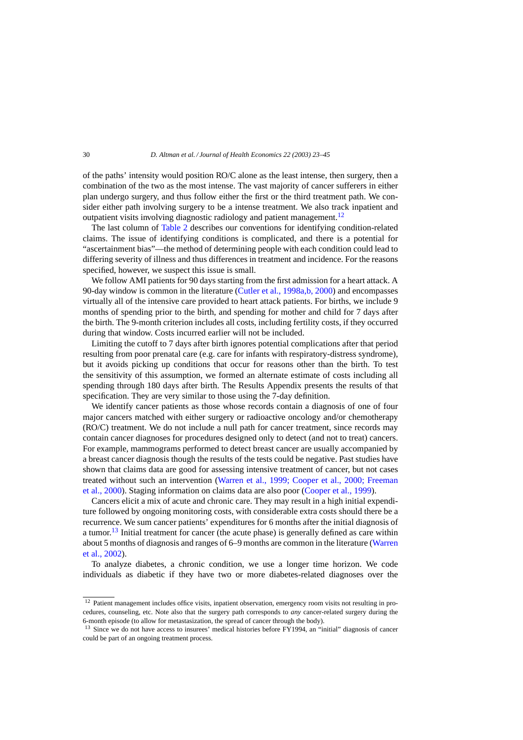of the paths' intensity would position RO/C alone as the least intense, then surgery, then a combination of the two as the most intense. The vast majority of cancer sufferers in either plan undergo surgery, and thus follow either the first or the third treatment path. We consider either path involving surgery to be a intense treatment. We also track inpatient and outpatient visits involving diagnostic radiology and patient management.<sup>12</sup>

The last column of [Table 2](#page-6-0) describes our conventions for identifying condition-related claims. The issue of identifying conditions is complicated, and there is a potential for "ascertainment bias"—the method of determining people with each condition could lead to differing severity of illness and thus differences in treatment and incidence. For the reasons specified, however, we suspect this issue is small.

We follow AMI patients for 90 days starting from the first admission for a heart attack. A 90-day window is common in the literature ([Cutler et al., 1998a,b, 2000\)](#page-22-0) and encompasses virtually all of the intensive care provided to heart attack patients. For births, we include 9 months of spending prior to the birth, and spending for mother and child for 7 days after the birth. The 9-month criterion includes all costs, including fertility costs, if they occurred during that window. Costs incurred earlier will not be included.

Limiting the cutoff to 7 days after birth ignores potential complications after that period resulting from poor prenatal care (e.g. care for infants with respiratory-distress syndrome), but it avoids picking up conditions that occur for reasons other than the birth. To test the sensitivity of this assumption, we formed an alternate estimate of costs including all spending through 180 days after birth. The Results Appendix presents the results of that specification. They are very similar to those using the 7-day definition.

We identify cancer patients as those whose records contain a diagnosis of one of four major cancers matched with either surgery or radioactive oncology and/or chemotherapy (RO/C) treatment. We do not include a null path for cancer treatment, since records may contain cancer diagnoses for procedures designed only to detect (and not to treat) cancers. For example, mammograms performed to detect breast cancer are usually accompanied by a breast cancer diagnosis though the results of the tests could be negative. Past studies have shown that claims data are good for assessing intensive treatment of cancer, but not cases treated without such an intervention ([Warren et al., 1999; Cooper et al., 2000; Freeman](#page-22-0) [et al., 2000\).](#page-22-0) Staging information on claims data are also poor ([Cooper et al., 1999\).](#page-21-0)

Cancers elicit a mix of acute and chronic care. They may result in a high initial expenditure followed by ongoing monitoring costs, with considerable extra costs should there be a recurrence. We sum cancer patients' expenditures for 6 months after the initial diagnosis of a tumor.<sup>13</sup> Initial treatment for cancer (the acute phase) is generally defined as care within about 5 months of diagnosis and ranges of 6–9 months are common in the literature ([Warren](#page-22-0) [et al., 2002\).](#page-22-0)

To analyze diabetes, a chronic condition, we use a longer time horizon. We code individuals as diabetic if they have two or more diabetes-related diagnoses over the

<sup>&</sup>lt;sup>12</sup> Patient management includes office visits, inpatient observation, emergency room visits not resulting in procedures, counseling, etc. Note also that the surgery path corresponds to *any* cancer-related surgery during the 6-month episode (to allow for metastasization, the spread of cancer through the body).

<sup>&</sup>lt;sup>13</sup> Since we do not have access to insurees' medical histories before FY1994, an "initial" diagnosis of cancer could be part of an ongoing treatment process.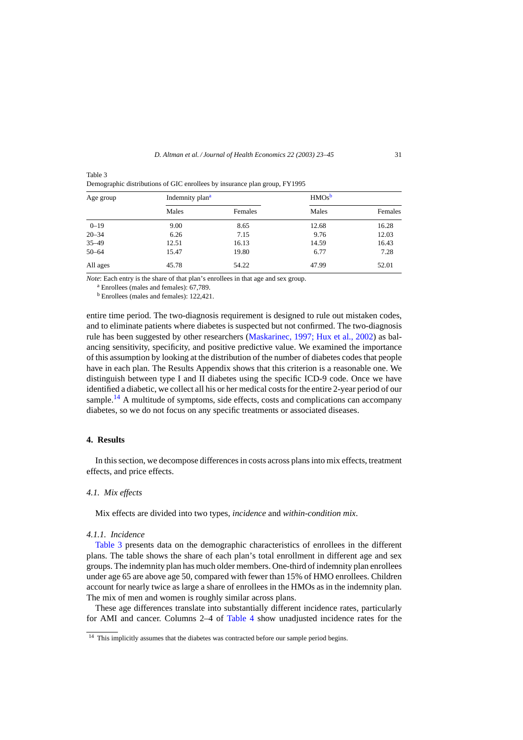| Age group | Indemnity plan <sup>a</sup> |         | HMOs <sup>b</sup> |         |
|-----------|-----------------------------|---------|-------------------|---------|
|           | Males                       | Females | Males             | Females |
| $0 - 19$  | 9.00                        | 8.65    | 12.68             | 16.28   |
| $20 - 34$ | 6.26                        | 7.15    | 9.76              | 12.03   |
| $35 - 49$ | 12.51                       | 16.13   | 14.59             | 16.43   |
| $50 - 64$ | 15.47                       | 19.80   | 6.77              | 7.28    |
| All ages  | 45.78                       | 54.22   | 47.99             | 52.01   |

<span id="page-8-0"></span>

| Table 3                                                                    |  |
|----------------------------------------------------------------------------|--|
| Demographic distributions of GIC enrollees by insurance plan group, FY1995 |  |

*Note*: Each entry is the share of that plan's enrollees in that age and sex group.

<sup>a</sup> Enrollees (males and females): 67,789.

<sup>b</sup> Enrollees (males and females): 122,421.

entire time period. The two-diagnosis requirement is designed to rule out mistaken codes, and to eliminate patients where diabetes is suspected but not confirmed. The two-diagnosis rule has been suggested by other researchers ([Maskarinec, 1997; Hux et al., 2002\)](#page-22-0) as balancing sensitivity, specificity, and positive predictive value. We examined the importance of this assumption by looking at the distribution of the number of diabetes codes that people have in each plan. The Results Appendix shows that this criterion is a reasonable one. We distinguish between type I and II diabetes using the specific ICD-9 code. Once we have identified a diabetic, we collect all his or her medical costs for the entire 2-year period of our sample.<sup>14</sup> A multitude of symptoms, side effects, costs and complications can accompany diabetes, so we do not focus on any specific treatments or associated diseases.

### **4. Results**

In this section, we decompose differences in costs across plans into mix effects, treatment effects, and price effects.

#### *4.1. Mix effects*

Mix effects are divided into two types, *incidence* and *within-condition mix*.

#### *4.1.1. Incidence*

Table 3 presents data on the demographic characteristics of enrollees in the different plans. The table shows the share of each plan's total enrollment in different age and sex groups. The indemnity plan has much older members. One-third of indemnity plan enrollees under age 65 are above age 50, compared with fewer than 15% of HMO enrollees. Children account for nearly twice as large a share of enrollees in the HMOs as in the indemnity plan. The mix of men and women is roughly similar across plans.

These age differences translate into substantially different incidence rates, particularly for AMI and cancer. Columns 2–4 of [Table 4](#page-9-0) show unadjusted incidence rates for the

<sup>14</sup> This implicitly assumes that the diabetes was contracted before our sample period begins.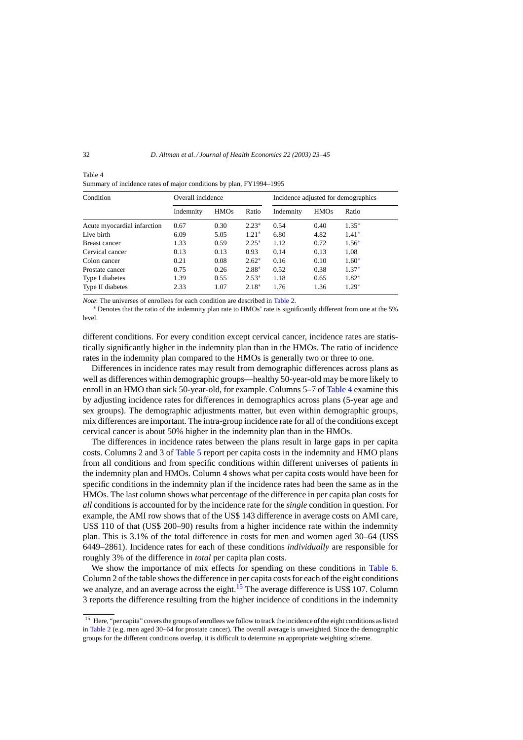| Condition                   |           | Overall incidence |         |           | Incidence adjusted for demographics |         |  |
|-----------------------------|-----------|-------------------|---------|-----------|-------------------------------------|---------|--|
|                             | Indemnity | <b>HMOs</b>       | Ratio   | Indemnity | <b>HMOs</b>                         | Ratio   |  |
| Acute myocardial infarction | 0.67      | 0.30              | $2.23*$ | 0.54      | 0.40                                | $1.35*$ |  |
| Live birth                  | 6.09      | 5.05              | $1.21*$ | 6.80      | 4.82                                | $1.41*$ |  |
| <b>Breast cancer</b>        | 1.33      | 0.59              | $2.25*$ | 1.12      | 0.72                                | $1.56*$ |  |
| Cervical cancer             | 0.13      | 0.13              | 0.93    | 0.14      | 0.13                                | 1.08    |  |
| Colon cancer                | 0.21      | 0.08              | $2.62*$ | 0.16      | 0.10                                | $1.60*$ |  |
| Prostate cancer             | 0.75      | 0.26              | $2.88*$ | 0.52      | 0.38                                | $1.37*$ |  |
| Type I diabetes             | 1.39      | 0.55              | $2.53*$ | 1.18      | 0.65                                | $1.82*$ |  |
| Type II diabetes            | 2.33      | 1.07              | $2.18*$ | 1.76      | 1.36                                | $1.29*$ |  |

<span id="page-9-0"></span>Table 4 Summary of incidence rates of major conditions by plan, FY1994–1995

*Note*: The universes of enrollees for each condition are described in [Table 2.](#page-6-0)

∗ Denotes that the ratio of the indemnity plan rate to HMOs' rate is significantly different from one at the 5% level.

different conditions. For every condition except cervical cancer, incidence rates are statistically significantly higher in the indemnity plan than in the HMOs. The ratio of incidence rates in the indemnity plan compared to the HMOs is generally two or three to one.

Differences in incidence rates may result from demographic differences across plans as well as differences within demographic groups—healthy 50-year-old may be more likely to enroll in an HMO than sick 50-year-old, for example. Columns 5–7 of Table 4 examine this by adjusting incidence rates for differences in demographics across plans (5-year age and sex groups). The demographic adjustments matter, but even within demographic groups, mix differences are important. The intra-group incidence rate for all of the conditions except cervical cancer is about 50% higher in the indemnity plan than in the HMOs.

The differences in incidence rates between the plans result in large gaps in per capita costs. Columns 2 and 3 of [Table 5](#page-10-0) report per capita costs in the indemnity and HMO plans from all conditions and from specific conditions within different universes of patients in the indemnity plan and HMOs. Column 4 shows what per capita costs would have been for specific conditions in the indemnity plan if the incidence rates had been the same as in the HMOs. The last column shows what percentage of the difference in per capita plan costs for *all* conditions is accounted for by the incidence rate for the *single* condition in question. For example, the AMI row shows that of the US\$ 143 difference in average costs on AMI care, US\$ 110 of that (US\$ 200–90) results from a higher incidence rate within the indemnity plan. This is 3.1% of the total difference in costs for men and women aged 30–64 (US\$ 6449–2861). Incidence rates for each of these conditions *individually* are responsible for roughly 3% of the difference in *total* per capita plan costs.

We show the importance of mix effects for spending on these conditions in [Table 6.](#page-10-0) Column 2 of the table shows the difference in per capita costs for each of the eight conditions we analyze, and an average across the eight.<sup>15</sup> The average difference is US\$ 107. Column 3 reports the difference resulting from the higher incidence of conditions in the indemnity

<sup>&</sup>lt;sup>15</sup> Here, "per capita" covers the groups of enrollees we follow to track the incidence of the eight conditions as listed in [Table 2](#page-6-0) (e.g. men aged 30–64 for prostate cancer). The overall average is unweighted. Since the demographic groups for the different conditions overlap, it is difficult to determine an appropriate weighting scheme.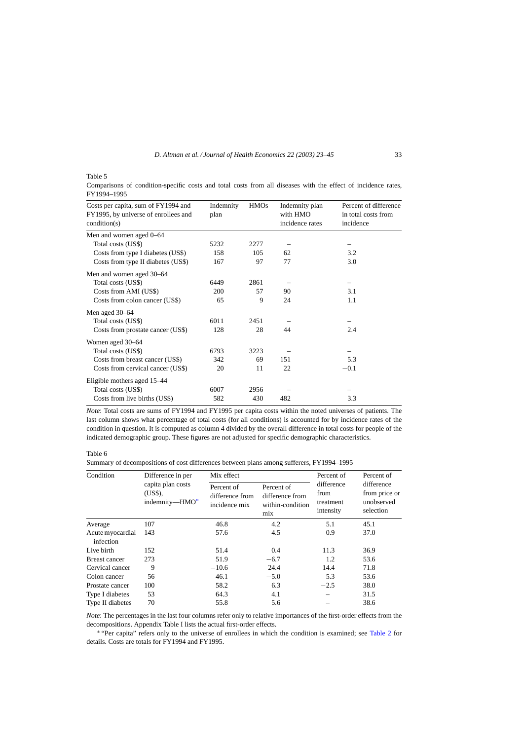<span id="page-10-0"></span>Table 5

Comparisons of condition-specific costs and total costs from all diseases with the effect of incidence rates, FY1994–1995

| Costs per capita, sum of FY1994 and<br>FY1995, by universe of enrollees and<br>condition(s) | Indemnity<br>plan | <b>HMOs</b> | Indemnity plan<br>with HMO<br>incidence rates | Percent of difference<br>in total costs from<br>incidence |
|---------------------------------------------------------------------------------------------|-------------------|-------------|-----------------------------------------------|-----------------------------------------------------------|
| Men and women aged 0-64                                                                     |                   |             |                                               |                                                           |
| Total costs (US\$)                                                                          | 5232              | 2277        |                                               |                                                           |
| Costs from type I diabetes (US\$)                                                           | 158               | 105         | 62                                            | 3.2                                                       |
| Costs from type II diabetes (US\$)                                                          | 167               | 97          | 77                                            | 3.0                                                       |
| Men and women aged 30–64                                                                    |                   |             |                                               |                                                           |
| Total costs (US\$)                                                                          | 6449              | 2861        |                                               | $\qquad \qquad -$                                         |
| Costs from AMI (US\$)                                                                       | 200               | 57          | 90                                            | 3.1                                                       |
| Costs from colon cancer (US\$)                                                              | 65                | 9           | 24                                            | 1.1                                                       |
| Men aged 30–64                                                                              |                   |             |                                               |                                                           |
| Total costs (US\$)                                                                          | 6011              | 2451        |                                               |                                                           |
| Costs from prostate cancer (US\$)                                                           | 128               | 28          | 44                                            | 2.4                                                       |
| Women aged 30–64                                                                            |                   |             |                                               |                                                           |
| Total costs (US\$)                                                                          | 6793              | 3223        |                                               |                                                           |
| Costs from breast cancer (US\$)                                                             | 342               | 69          | 151                                           | 5.3                                                       |
| Costs from cervical cancer (US\$)                                                           | 20                | 11          | 22                                            | $-0.1$                                                    |
| Eligible mothers aged 15–44                                                                 |                   |             |                                               |                                                           |
| Total costs (US\$)                                                                          | 6007              | 2956        |                                               |                                                           |
| Costs from live births (US\$)                                                               | 582               | 430         | 482                                           | 3.3                                                       |

*Note*: Total costs are sums of FY1994 and FY1995 per capita costs within the noted universes of patients. The last column shows what percentage of total costs (for all conditions) is accounted for by incidence rates of the condition in question. It is computed as column 4 divided by the overall difference in total costs for people of the indicated demographic group. These figures are not adjusted for specific demographic characteristics.

#### Table 6

Summary of decompositions of cost differences between plans among sufferers, FY1994–1995

| Condition                     | Difference in per                                | Mix effect                                     |                                                          | Percent of                                   | Percent of                                             |
|-------------------------------|--------------------------------------------------|------------------------------------------------|----------------------------------------------------------|----------------------------------------------|--------------------------------------------------------|
|                               | capita plan costs<br>$(USS)$ ,<br>indemnity—HMO* | Percent of<br>difference from<br>incidence mix | Percent of<br>difference from<br>within-condition<br>mix | difference<br>from<br>treatment<br>intensity | difference<br>from price or<br>unobserved<br>selection |
| Average                       | 107                                              | 46.8                                           | 4.2                                                      | 5.1                                          | 45.1                                                   |
| Acute myocardial<br>infection | 143                                              | 57.6                                           | 4.5                                                      | 0.9                                          | 37.0                                                   |
| Live birth                    | 152                                              | 51.4                                           | 0.4                                                      | 11.3                                         | 36.9                                                   |
| <b>Breast cancer</b>          | 273                                              | 51.9                                           | $-6.7$                                                   | 1.2                                          | 53.6                                                   |
| Cervical cancer               | 9                                                | $-10.6$                                        | 24.4                                                     | 14.4                                         | 71.8                                                   |
| Colon cancer                  | 56                                               | 46.1                                           | $-5.0$                                                   | 5.3                                          | 53.6                                                   |
| Prostate cancer               | 100                                              | 58.2                                           | 6.3                                                      | $-2.5$                                       | 38.0                                                   |
| Type I diabetes               | 53                                               | 64.3                                           | 4.1                                                      |                                              | 31.5                                                   |
| Type II diabetes              | 70                                               | 55.8                                           | 5.6                                                      |                                              | 38.6                                                   |

*Note*: The percentages in the last four columns refer only to relative importances of the first-order effects from the decompositions. Appendix Table I lists the actual first-order effects.

∗ "Per capita" refers only to the universe of enrollees in which the condition is examined; see [Table 2](#page-6-0) for details. Costs are totals for FY1994 and FY1995.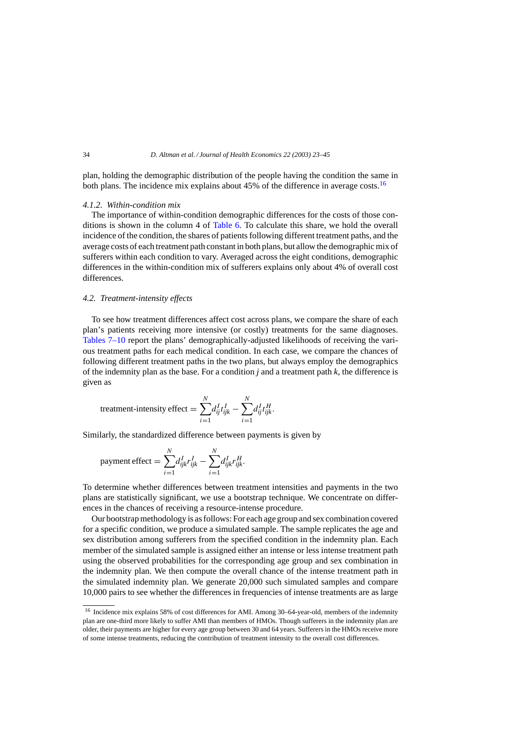plan, holding the demographic distribution of the people having the condition the same in both plans. The incidence mix explains about  $45\%$  of the difference in average costs.<sup>16</sup>

#### *4.1.2. Within-condition mix*

The importance of within-condition demographic differences for the costs of those conditions is shown in the column 4 of [Table 6.](#page-10-0) To calculate this share, we hold the overall incidence of the condition, the shares of patients following different treatment paths, and the average costs of each treatment path constant in both plans, but allow the demographic mix of sufferers within each condition to vary. Averaged across the eight conditions, demographic differences in the within-condition mix of sufferers explains only about 4% of overall cost differences.

#### *4.2. Treatment-intensity effects*

To see how treatment differences affect cost across plans, we compare the share of each plan's patients receiving more intensive (or costly) treatments for the same diagnoses. [Tables 7–10](#page-12-0) report the plans' demographically-adjusted likelihoods of receiving the various treatment paths for each medical condition. In each case, we compare the chances of following different treatment paths in the two plans, but always employ the demographics of the indemnity plan as the base. For a condition *j* and a treatment path *k*, the difference is given as

treatment-intensity effect = 
$$
\sum_{i=1}^{N} d_{ij}^{I} t_{ijk}^{I} - \sum_{i=1}^{N} d_{ij}^{I} t_{ijk}^{H}.
$$

Similarly, the standardized difference between payments is given by

$$
payment effect = \sum_{i=1}^{N} d_{ijk}^{I} r_{ijk}^{I} - \sum_{i=1}^{N} d_{ijk}^{I} r_{ijk}^{H}.
$$

To determine whether differences between treatment intensities and payments in the two plans are statistically significant, we use a bootstrap technique. We concentrate on differences in the chances of receiving a resource-intense procedure.

Our bootstrap methodology is as follows: For each age group and sex combination covered for a specific condition, we produce a simulated sample. The sample replicates the age and sex distribution among sufferers from the specified condition in the indemnity plan. Each member of the simulated sample is assigned either an intense or less intense treatment path using the observed probabilities for the corresponding age group and sex combination in the indemnity plan. We then compute the overall chance of the intense treatment path in the simulated indemnity plan. We generate 20,000 such simulated samples and compare 10,000 pairs to see whether the differences in frequencies of intense treatments are as large

<sup>16</sup> Incidence mix explains 58% of cost differences for AMI. Among 30–64-year-old, members of the indemnity plan are one-third more likely to suffer AMI than members of HMOs. Though sufferers in the indemnity plan are older, their payments are higher for every age group between 30 and 64 years. Sufferers in the HMOs receive more of some intense treatments, reducing the contribution of treatment intensity to the overall cost differences.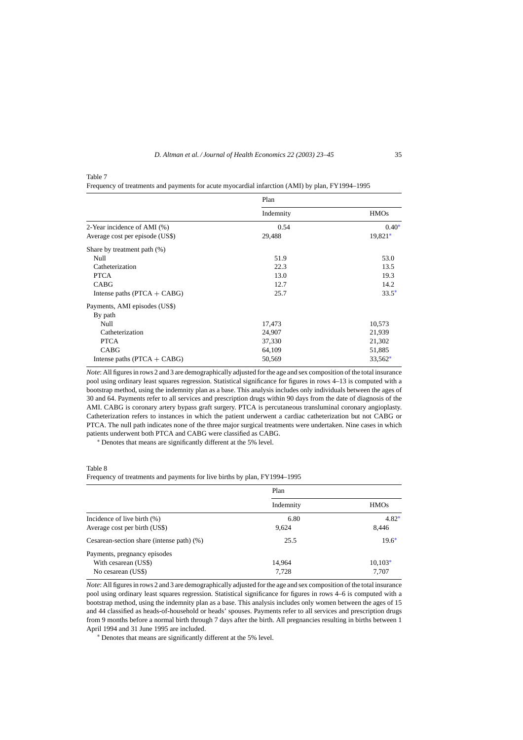<span id="page-12-0"></span>Table 7

| Frequency of treatments and payments for acute myocardial infarction (AMI) by plan, FY1994–1995 |
|-------------------------------------------------------------------------------------------------|
|-------------------------------------------------------------------------------------------------|

|                                 | Plan      |             |  |
|---------------------------------|-----------|-------------|--|
|                                 | Indemnity | <b>HMOs</b> |  |
| 2-Year incidence of AMI (%)     | 0.54      | $0.40*$     |  |
| Average cost per episode (US\$) | 29,488    | 19,821*     |  |
| Share by treatment path (%)     |           |             |  |
| Null                            | 51.9      | 53.0        |  |
| Catheterization                 | 22.3      | 13.5        |  |
| <b>PTCA</b>                     | 13.0      | 19.3        |  |
| CABG                            | 12.7      | 14.2        |  |
| Intense paths $(PTCA + CABG)$   | 25.7      | $33.5*$     |  |
| Payments, AMI episodes (US\$)   |           |             |  |
| By path                         |           |             |  |
| Null                            | 17,473    | 10,573      |  |
| Catheterization                 | 24,907    | 21,939      |  |
| <b>PTCA</b>                     | 37,330    | 21,302      |  |
| CABG                            | 64,109    | 51,885      |  |
| Intense paths $(PTCA + CABG)$   | 50,569    | 33,562*     |  |

*Note*: All figures in rows 2 and 3 are demographically adjusted for the age and sex composition of the total insurance pool using ordinary least squares regression. Statistical significance for figures in rows 4–13 is computed with a bootstrap method, using the indemnity plan as a base. This analysis includes only individuals between the ages of 30 and 64. Payments refer to all services and prescription drugs within 90 days from the date of diagnosis of the AMI. CABG is coronary artery bypass graft surgery. PTCA is percutaneous transluminal coronary angioplasty. Catheterization refers to instances in which the patient underwent a cardiac catheterization but not CABG or PTCA. The null path indicates none of the three major surgical treatments were undertaken. Nine cases in which patients underwent both PTCA and CABG were classified as CABG.

∗ Denotes that means are significantly different at the 5% level.

Table 8

Frequency of treatments and payments for live births by plan, FY1994–1995

|                                           | Plan      |             |  |
|-------------------------------------------|-----------|-------------|--|
|                                           | Indemnity | <b>HMOs</b> |  |
| Incidence of live birth (%)               | 6.80      | $4.82*$     |  |
| Average cost per birth (US\$)             | 9.624     | 8.446       |  |
| Cesarean-section share (intense path) (%) | 25.5      | $19.6*$     |  |
| Payments, pregnancy episodes              |           |             |  |
| With cesarean (US\$)                      | 14.964    | $10,103*$   |  |
| No cesarean (US\$)                        | 7,728     | 7.707       |  |

*Note*: All figures in rows 2 and 3 are demographically adjusted for the age and sex composition of the total insurance pool using ordinary least squares regression. Statistical significance for figures in rows 4–6 is computed with a bootstrap method, using the indemnity plan as a base. This analysis includes only women between the ages of 15 and 44 classified as heads-of-household or heads' spouses. Payments refer to all services and prescription drugs from 9 months before a normal birth through 7 days after the birth. All pregnancies resulting in births between 1 April 1994 and 31 June 1995 are included.

∗ Denotes that means are significantly different at the 5% level.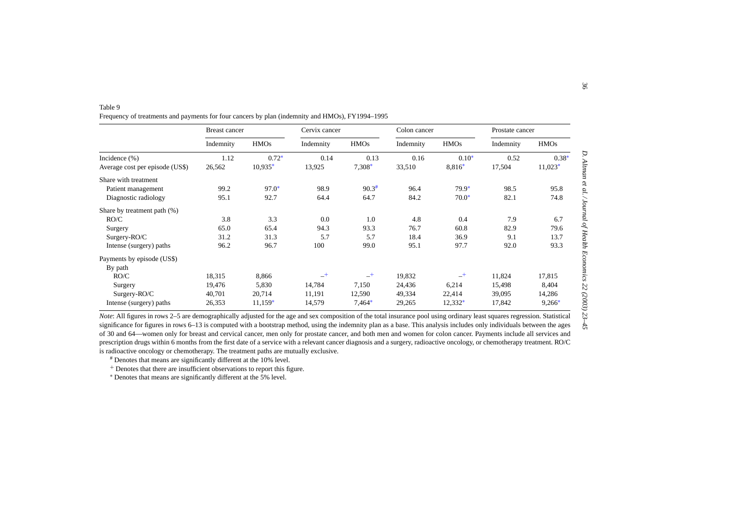<span id="page-13-0"></span>

|                                 | <b>Breast cancer</b> |             | Cervix cancer |                     | Colon cancer |             | Prostate cancer |             |
|---------------------------------|----------------------|-------------|---------------|---------------------|--------------|-------------|-----------------|-------------|
|                                 | Indemnity            | <b>HMOs</b> | Indemnity     | <b>HMOs</b>         | Indemnity    | <b>HMOs</b> | Indemnity       | <b>HMOs</b> |
| Incidence (%)                   | 1.12                 | $0.72*$     | 0.14          | 0.13                | 0.16         | $0.10*$     | 0.52            | $0.38*$     |
| Average cost per episode (US\$) | 26,562               | $10,935*$   | 13,925        | 7,308*              | 33,510       | 8,816*      | 17,504          | $11,023*$   |
| Share with treatment            |                      |             |               |                     |              |             |                 |             |
| Patient management              | 99.2                 | $97.0*$     | 98.9          | $90.3$ <sup>#</sup> | 96.4         | 79.9*       | 98.5            | 95.8        |
| Diagnostic radiology            | 95.1                 | 92.7        | 64.4          | 64.7                | 84.2         | $70.0*$     | 82.1            | 74.8        |
| Share by treatment path (%)     |                      |             |               |                     |              |             |                 |             |
| RO/C                            | 3.8                  | 3.3         | 0.0           | 1.0                 | 4.8          | 0.4         | 7.9             | 6.7         |
| Surgery                         | 65.0                 | 65.4        | 94.3          | 93.3                | 76.7         | 60.8        | 82.9            | 79.6        |
| Surgery-RO/C                    | 31.2                 | 31.3        | 5.7           | 5.7                 | 18.4         | 36.9        | 9.1             | 13.7        |
| Intense (surgery) paths         | 96.2                 | 96.7        | 100           | 99.0                | 95.1         | 97.7        | 92.0            | 93.3        |
| Payments by episode (US\$)      |                      |             |               |                     |              |             |                 |             |
| By path                         |                      |             |               |                     |              |             |                 |             |
| RO/C                            | 18,315               | 8,866       | $-+$          | $-+$                | 19,832       | $-+$        | 11,824          | 17,815      |
| Surgery                         | 19,476               | 5,830       | 14,784        | 7,150               | 24,436       | 6,214       | 15,498          | 8,404       |
| Surgery-RO/C                    | 40,701               | 20,714      | 11,191        | 12,590              | 49,334       | 22,414      | 39,095          | 14,286      |
| Intense (surgery) paths         | 26,353               | $11,159*$   | 14,579        | $7,464*$            | 29,265       | $12,332*$   | 17,842          | $9,266*$    |

of 30 and 64—women only for breast and cervical cancer, men only for prostate cancer, and both men and women for colon cancer. Payments include all services and prescription drugs within 6 months from the first date of <sup>a</sup> service with <sup>a</sup> relevant cancer diagnosis and <sup>a</sup> surgery, radioactive oncology, or chemotherapy treatment. RO/C is radioactive oncology or chemotherapy. The treatment paths are mutually exclusive.

# Denotes that means are significantly different at the 10% level.

+ Denotes that there are insufficient observations to repor<sup>t</sup> this figure.

∗ Denotes that means are significantly different at the 5% level.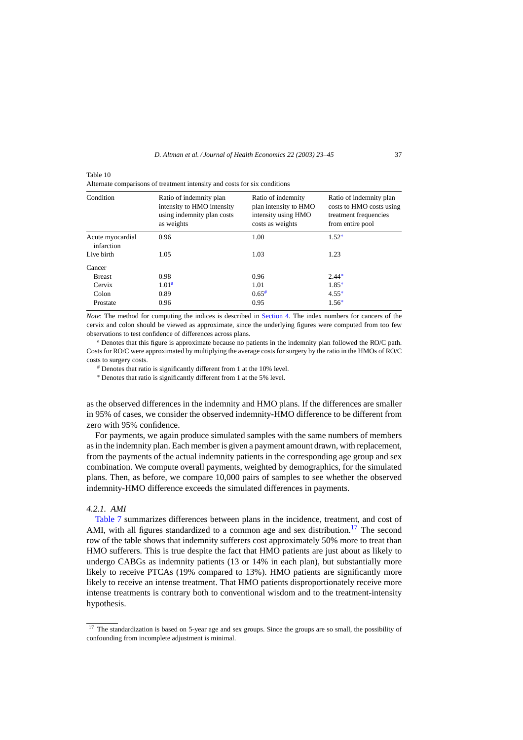| Condition                      | Ratio of indemnity plan<br>intensity to HMO intensity<br>using indemnity plan costs<br>as weights | Ratio of indemnity<br>plan intensity to HMO<br>intensity using HMO<br>costs as weights | Ratio of indemnity plan<br>costs to HMO costs using<br>treatment frequencies<br>from entire pool |
|--------------------------------|---------------------------------------------------------------------------------------------------|----------------------------------------------------------------------------------------|--------------------------------------------------------------------------------------------------|
| Acute myocardial<br>infarction | 0.96                                                                                              | 1.00                                                                                   | $1.52*$                                                                                          |
| Live birth                     | 1.05                                                                                              | 1.03                                                                                   | 1.23                                                                                             |
| Cancer                         |                                                                                                   |                                                                                        |                                                                                                  |
| <b>Breast</b>                  | 0.98                                                                                              | 0.96                                                                                   | $2.44*$                                                                                          |
| Cervix                         | 1.01 <sup>a</sup>                                                                                 | 1.01                                                                                   | $1.85*$                                                                                          |
| Colon                          | 0.89                                                                                              | $0.65$ <sup>#</sup>                                                                    | $4.55*$                                                                                          |
| Prostate                       | 0.96                                                                                              | 0.95                                                                                   | $1.56*$                                                                                          |

|  |  | Alternate comparisons of treatment intensity and costs for six conditions |
|--|--|---------------------------------------------------------------------------|

*Note*: The method for computing the indices is described in [Section 4.](#page-8-0) The index numbers for cancers of the cervix and colon should be viewed as approximate, since the underlying figures were computed from too few observations to test confidence of differences across plans.

<sup>a</sup> Denotes that this figure is approximate because no patients in the indemnity plan followed the RO/C path. Costs for RO/C were approximated by multiplying the average costs for surgery by the ratio in the HMOs of RO/C costs to surgery costs.

# Denotes that ratio is significantly different from 1 at the 10% level.

∗ Denotes that ratio is significantly different from 1 at the 5% level.

as the observed differences in the indemnity and HMO plans. If the differences are smaller in 95% of cases, we consider the observed indemnity-HMO difference to be different from zero with 95% confidence.

For payments, we again produce simulated samples with the same numbers of members as in the indemnity plan. Each member is given a payment amount drawn, with replacement, from the payments of the actual indemnity patients in the corresponding age group and sex combination. We compute overall payments, weighted by demographics, for the simulated plans. Then, as before, we compare 10,000 pairs of samples to see whether the observed indemnity-HMO difference exceeds the simulated differences in payments.

# *4.2.1. AMI*

<span id="page-14-0"></span>Table 10

[Table 7](#page-12-0) summarizes differences between plans in the incidence, treatment, and cost of AMI, with all figures standardized to a common age and sex distribution.<sup>17</sup> The second row of the table shows that indemnity sufferers cost approximately 50% more to treat than HMO sufferers. This is true despite the fact that HMO patients are just about as likely to undergo CABGs as indemnity patients (13 or 14% in each plan), but substantially more likely to receive PTCAs (19% compared to 13%). HMO patients are significantly more likely to receive an intense treatment. That HMO patients disproportionately receive more intense treatments is contrary both to conventional wisdom and to the treatment-intensity hypothesis.

<sup>&</sup>lt;sup>17</sup> The standardization is based on 5-year age and sex groups. Since the groups are so small, the possibility of confounding from incomplete adjustment is minimal.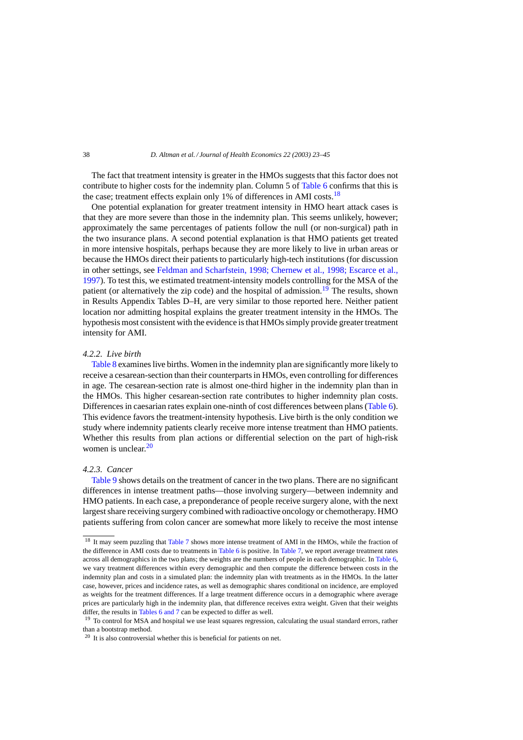The fact that treatment intensity is greater in the HMOs suggests that this factor does not contribute to higher costs for the indemnity plan. Column 5 of [Table 6](#page-10-0) confirms that this is the case; treatment effects explain only 1% of differences in AMI costs.<sup>18</sup>

One potential explanation for greater treatment intensity in HMO heart attack cases is that they are more severe than those in the indemnity plan. This seems unlikely, however; approximately the same percentages of patients follow the null (or non-surgical) path in the two insurance plans. A second potential explanation is that HMO patients get treated in more intensive hospitals, perhaps because they are more likely to live in urban areas or because the HMOs direct their patients to particularly high-tech institutions (for discussion in other settings, see [Feldman and Scharfstein, 1998; Chernew et al., 1998; Escarce et al.,](#page-22-0) [1997\).](#page-22-0) To test this, we estimated treatment-intensity models controlling for the MSA of the patient (or alternatively the zip code) and the hospital of admission.<sup>19</sup> The results, shown in Results Appendix Tables D–H, are very similar to those reported here. Neither patient location nor admitting hospital explains the greater treatment intensity in the HMOs. The hypothesis most consistent with the evidence is that HMOs simply provide greater treatment intensity for AMI.

#### *4.2.2. Live birth*

[Table 8](#page-12-0) examines live births. Women in the indemnity plan are significantly more likely to receive a cesarean-section than their counterparts in HMOs, even controlling for differences in age. The cesarean-section rate is almost one-third higher in the indemnity plan than in the HMOs. This higher cesarean-section rate contributes to higher indemnity plan costs. Differences in caesarian rates explain one-ninth of cost differences between plans [\(Table 6\).](#page-10-0) This evidence favors the treatment-intensity hypothesis. Live birth is the only condition we study where indemnity patients clearly receive more intense treatment than HMO patients. Whether this results from plan actions or differential selection on the part of high-risk women is unclear.<sup>20</sup>

# *4.2.3. Cancer*

[Table 9](#page-13-0) shows details on the treatment of cancer in the two plans. There are no significant differences in intense treatment paths—those involving surgery—between indemnity and HMO patients. In each case, a preponderance of people receive surgery alone, with the next largest share receiving surgery combined with radioactive oncology or chemotherapy. HMO patients suffering from colon cancer are somewhat more likely to receive the most intense

<sup>&</sup>lt;sup>18</sup> It may seem puzzling that [Table 7](#page-12-0) shows more intense treatment of AMI in the HMOs, while the fraction of the difference in AMI costs due to treatments in [Table 6](#page-10-0) is positive. In [Table 7, w](#page-12-0)e report average treatment rates across all demographics in the two plans; the weights are the numbers of people in each demographic. In [Table 6,](#page-10-0) we vary treatment differences within every demographic and then compute the difference between costs in the indemnity plan and costs in a simulated plan: the indemnity plan with treatments as in the HMOs. In the latter case, however, prices and incidence rates, as well as demographic shares conditional on incidence, are employed as weights for the treatment differences. If a large treatment difference occurs in a demographic where average prices are particularly high in the indemnity plan, that difference receives extra weight. Given that their weights differ, the results in [Tables 6 and 7](#page-10-0) can be expected to differ as well.

<sup>&</sup>lt;sup>19</sup> To control for MSA and hospital we use least squares regression, calculating the usual standard errors, rather than a bootstrap method.

 $20$  It is also controversial whether this is beneficial for patients on net.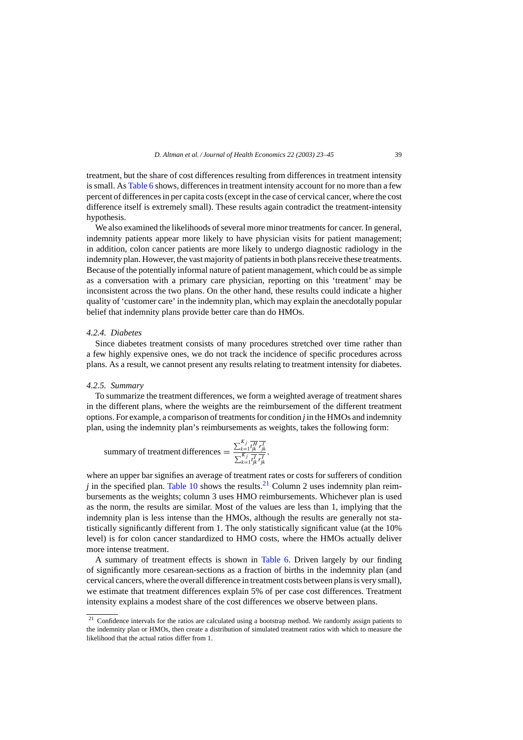treatment, but the share of cost differences resulting from differences in treatment intensity is small. As [Table 6](#page-10-0) shows, differences in treatment intensity account for no more than a few percent of differences in per capita costs (except in the case of cervical cancer, where the cost difference itself is extremely small). These results again contradict the treatment-intensity hypothesis.

We also examined the likelihoods of several more minor treatments for cancer. In general, indemnity patients appear more likely to have physician visits for patient management; in addition, colon cancer patients are more likely to undergo diagnostic radiology in the indemnity plan. However, the vast majority of patients in both plans receive these treatments. Because of the potentially informal nature of patient management, which could be as simple as a conversation with a primary care physician, reporting on this 'treatment' may be inconsistent across the two plans. On the other hand, these results could indicate a higher quality of 'customer care' in the indemnity plan, which may explain the anecdotally popular belief that indemnity plans provide better care than do HMOs.

# *4.2.4. Diabetes*

Since diabetes treatment consists of many procedures stretched over time rather than a few highly expensive ones, we do not track the incidence of specific procedures across plans. As a result, we cannot present any results relating to treatment intensity for diabetes.

#### *4.2.5. Summary*

To summarize the treatment differences, we form a weighted average of treatment shares in the different plans, where the weights are the reimbursement of the different treatment options. For example, a comparison of treatments for condition *j* in the HMOs and indemnity plan, using the indemnity plan's reimbursements as weights, takes the following form:

summary of treatment differences = 
$$
\frac{\sum_{k=1}^{K_j} \frac{1}{t_{jk}^H} \frac{1}{r_{jk}^H}}{\sum_{k=1}^{K_j} \frac{1}{t_{jk}^H} \frac{1}{r_{jk}^H}},
$$

where an upper bar signifies an average of treatment rates or costs for sufferers of condition *j* in the specified plan. [Table 10](#page-14-0) shows the results.<sup>21</sup> Column 2 uses indemnity plan reimbursements as the weights; column 3 uses HMO reimbursements. Whichever plan is used as the norm, the results are similar. Most of the values are less than 1, implying that the indemnity plan is less intense than the HMOs, although the results are generally not statistically significantly different from 1. The only statistically significant value (at the 10% level) is for colon cancer standardized to HMO costs, where the HMOs actually deliver more intense treatment.

A summary of treatment effects is shown in [Table 6.](#page-10-0) Driven largely by our finding of significantly more cesarean-sections as a fraction of births in the indemnity plan (and cervical cancers, where the overall difference in treatment costs between plans is very small), we estimate that treatment differences explain 5% of per case cost differences. Treatment intensity explains a modest share of the cost differences we observe between plans.

<sup>&</sup>lt;sup>21</sup> Confidence intervals for the ratios are calculated using a bootstrap method. We randomly assign patients to the indemnity plan or HMOs, then create a distribution of simulated treatment ratios with which to measure the likelihood that the actual ratios differ from 1.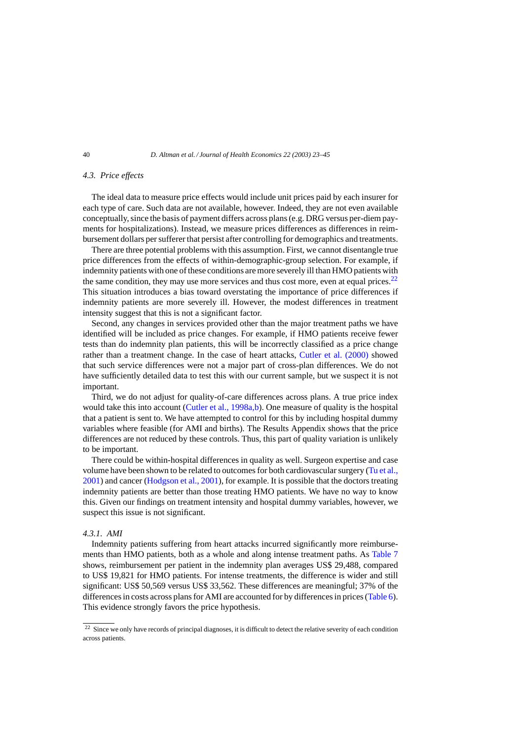# *4.3. Price effects*

The ideal data to measure price effects would include unit prices paid by each insurer for each type of care. Such data are not available, however. Indeed, they are not even available conceptually, since the basis of payment differs across plans (e.g. DRG versus per-diem payments for hospitalizations). Instead, we measure prices differences as differences in reimbursement dollars per sufferer that persist after controlling for demographics and treatments.

There are three potential problems with this assumption. First, we cannot disentangle true price differences from the effects of within-demographic-group selection. For example, if indemnity patients with one of these conditions are more severely ill than HMO patients with the same condition, they may use more services and thus cost more, even at equal prices.<sup>22</sup> This situation introduces a bias toward overstating the importance of price differences if indemnity patients are more severely ill. However, the modest differences in treatment intensity suggest that this is not a significant factor.

Second, any changes in services provided other than the major treatment paths we have identified will be included as price changes. For example, if HMO patients receive fewer tests than do indemnity plan patients, this will be incorrectly classified as a price change rather than a treatment change. In the case of heart attacks, [Cutler et al. \(2000\)](#page-22-0) showed that such service differences were not a major part of cross-plan differences. We do not have sufficiently detailed data to test this with our current sample, but we suspect it is not important.

Third, we do not adjust for quality-of-care differences across plans. A true price index would take this into account [\(Cutler et al., 1998a,b\).](#page-22-0) One measure of quality is the hospital that a patient is sent to. We have attempted to control for this by including hospital dummy variables where feasible (for AMI and births). The Results Appendix shows that the price differences are not reduced by these controls. Thus, this part of quality variation is unlikely to be important.

There could be within-hospital differences in quality as well. Surgeon expertise and case volume have been shown to be related to outcomes for both cardiovascular surgery [\(Tu et al.,](#page-22-0) [2001\)](#page-22-0) and cancer [\(Hodgson et al., 2001\),](#page-22-0) for example. It is possible that the doctors treating indemnity patients are better than those treating HMO patients. We have no way to know this. Given our findings on treatment intensity and hospital dummy variables, however, we suspect this issue is not significant.

#### *4.3.1. AMI*

Indemnity patients suffering from heart attacks incurred significantly more reimbursements than HMO patients, both as a whole and along intense treatment paths. As [Table 7](#page-12-0) shows, reimbursement per patient in the indemnity plan averages US\$ 29,488, compared to US\$ 19,821 for HMO patients. For intense treatments, the difference is wider and still significant: US\$ 50,569 versus US\$ 33,562. These differences are meaningful; 37% of the differences in costs across plans for AMI are accounted for by differences in prices ([Table 6\).](#page-10-0) This evidence strongly favors the price hypothesis.

<sup>&</sup>lt;sup>22</sup> Since we only have records of principal diagnoses, it is difficult to detect the relative severity of each condition across patients.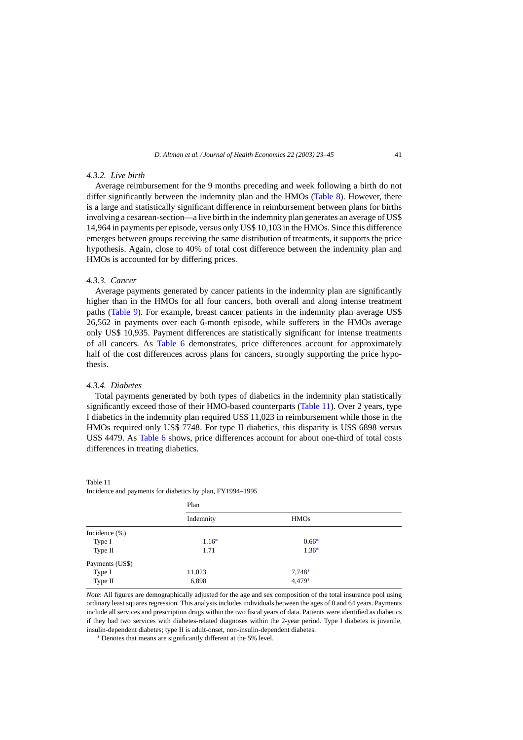#### *4.3.2. Live birth*

Average reimbursement for the 9 months preceding and week following a birth do not differ significantly between the indemnity plan and the HMOs [\(Table 8\).](#page-12-0) However, there is a large and statistically significant difference in reimbursement between plans for births involving a cesarean-section—a live birth in the indemnity plan generates an average of US\$ 14,964 in payments per episode, versus only US\$ 10,103 in the HMOs. Since this difference emerges between groups receiving the same distribution of treatments, it supports the price hypothesis. Again, close to 40% of total cost difference between the indemnity plan and HMOs is accounted for by differing prices.

#### *4.3.3. Cancer*

Average payments generated by cancer patients in the indemnity plan are significantly higher than in the HMOs for all four cancers, both overall and along intense treatment paths [\(Table 9\).](#page-13-0) For example, breast cancer patients in the indemnity plan average US\$ 26,562 in payments over each 6-month episode, while sufferers in the HMOs average only US\$ 10,935. Payment differences are statistically significant for intense treatments of all cancers. As [Table 6](#page-10-0) demonstrates, price differences account for approximately half of the cost differences across plans for cancers, strongly supporting the price hypothesis.

### *4.3.4. Diabetes*

Total payments generated by both types of diabetics in the indemnity plan statistically significantly exceed those of their HMO-based counterparts (Table 11). Over 2 years, type I diabetics in the indemnity plan required US\$ 11,023 in reimbursement while those in the HMOs required only US\$ 7748. For type II diabetics, this disparity is US\$ 6898 versus US\$ 4479. As [Table 6](#page-10-0) shows, price differences account for about one-third of total costs differences in treating diabetics.

| . .               |           |             |  |
|-------------------|-----------|-------------|--|
|                   | Plan      |             |  |
|                   | Indemnity | <b>HMOs</b> |  |
| Incidence $(\% )$ |           |             |  |
| Type I            | $1.16*$   | $0.66*$     |  |
| Type II           | 1.71      | $1.36*$     |  |
| Payments (US\$)   |           |             |  |
| Type I            | 11,023    | $7,748*$    |  |
| Type II           | 6,898     | $4.479*$    |  |
|                   |           |             |  |

Table 11 Incidence and payments for diabetics by plan, FY1994–1995

*Note*: All figures are demographically adjusted for the age and sex composition of the total insurance pool using ordinary least squares regression. This analysis includes individuals between the ages of 0 and 64 years. Payments include all services and prescription drugs within the two fiscal years of data. Patients were identified as diabetics if they had two services with diabetes-related diagnoses within the 2-year period. Type I diabetes is juvenile, insulin-dependent diabetes; type II is adult-onset, non-insulin-dependent diabetes.

∗ Denotes that means are significantly different at the 5% level.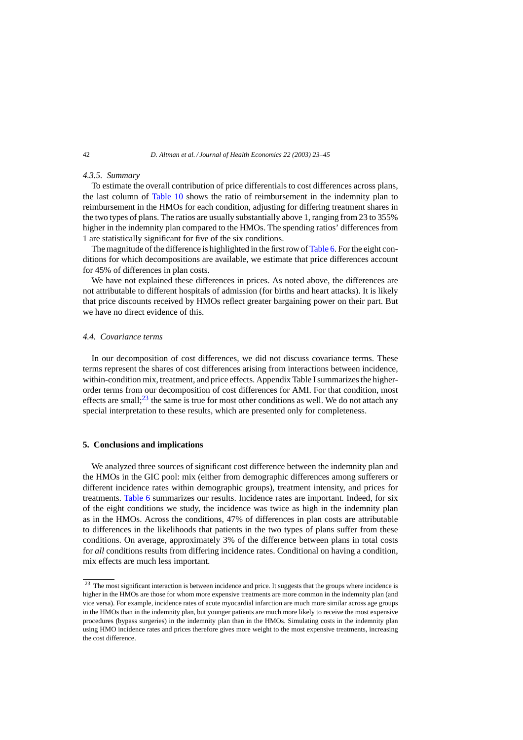# *4.3.5. Summary*

To estimate the overall contribution of price differentials to cost differences across plans, the last column of [Table 10](#page-14-0) shows the ratio of reimbursement in the indemnity plan to reimbursement in the HMOs for each condition, adjusting for differing treatment shares in the two types of plans. The ratios are usually substantially above 1, ranging from 23 to 355% higher in the indemnity plan compared to the HMOs. The spending ratios' differences from 1 are statistically significant for five of the six conditions.

The magnitude of the difference is highlighted in the first row of [Table 6. F](#page-10-0)or the eight conditions for which decompositions are available, we estimate that price differences account for 45% of differences in plan costs.

We have not explained these differences in prices. As noted above, the differences are not attributable to different hospitals of admission (for births and heart attacks). It is likely that price discounts received by HMOs reflect greater bargaining power on their part. But we have no direct evidence of this.

#### *4.4. Covariance terms*

In our decomposition of cost differences, we did not discuss covariance terms. These terms represent the shares of cost differences arising from interactions between incidence, within-condition mix, treatment, and price effects. Appendix Table I summarizes the higherorder terms from our decomposition of cost differences for AMI. For that condition, most effects are small; $^{23}$  the same is true for most other conditions as well. We do not attach any special interpretation to these results, which are presented only for completeness.

# **5. Conclusions and implications**

We analyzed three sources of significant cost difference between the indemnity plan and the HMOs in the GIC pool: mix (either from demographic differences among sufferers or different incidence rates within demographic groups), treatment intensity, and prices for treatments. [Table 6](#page-10-0) summarizes our results. Incidence rates are important. Indeed, for six of the eight conditions we study, the incidence was twice as high in the indemnity plan as in the HMOs. Across the conditions, 47% of differences in plan costs are attributable to differences in the likelihoods that patients in the two types of plans suffer from these conditions. On average, approximately 3% of the difference between plans in total costs for *all* conditions results from differing incidence rates. Conditional on having a condition, mix effects are much less important.

<sup>&</sup>lt;sup>23</sup> The most significant interaction is between incidence and price. It suggests that the groups where incidence is higher in the HMOs are those for whom more expensive treatments are more common in the indemnity plan (and vice versa). For example, incidence rates of acute myocardial infarction are much more similar across age groups in the HMOs than in the indemnity plan, but younger patients are much more likely to receive the most expensive procedures (bypass surgeries) in the indemnity plan than in the HMOs. Simulating costs in the indemnity plan using HMO incidence rates and prices therefore gives more weight to the most expensive treatments, increasing the cost difference.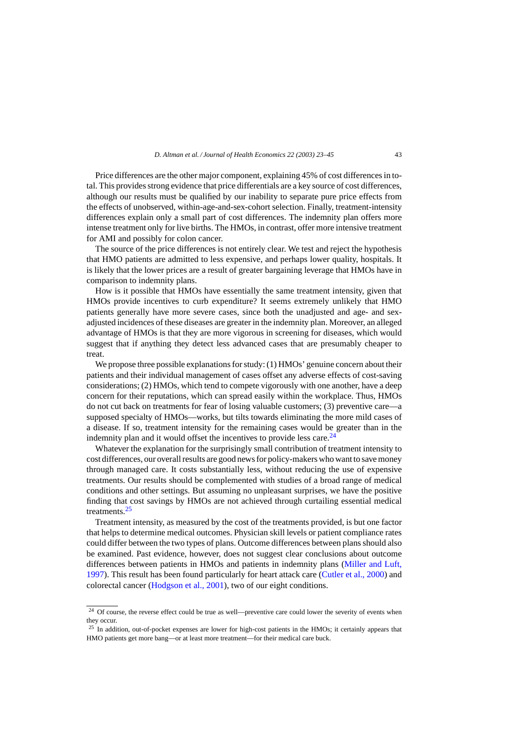Price differences are the other major component, explaining 45% of cost differences in total. This provides strong evidence that price differentials are a key source of cost differences, although our results must be qualified by our inability to separate pure price effects from the effects of unobserved, within-age-and-sex-cohort selection. Finally, treatment-intensity differences explain only a small part of cost differences. The indemnity plan offers more intense treatment only for live births. The HMOs, in contrast, offer more intensive treatment for AMI and possibly for colon cancer.

The source of the price differences is not entirely clear. We test and reject the hypothesis that HMO patients are admitted to less expensive, and perhaps lower quality, hospitals. It is likely that the lower prices are a result of greater bargaining leverage that HMOs have in comparison to indemnity plans.

How is it possible that HMOs have essentially the same treatment intensity, given that HMOs provide incentives to curb expenditure? It seems extremely unlikely that HMO patients generally have more severe cases, since both the unadjusted and age- and sexadjusted incidences of these diseases are greater in the indemnity plan. Moreover, an alleged advantage of HMOs is that they are more vigorous in screening for diseases, which would suggest that if anything they detect less advanced cases that are presumably cheaper to treat.

We propose three possible explanations for study: (1) HMOs' genuine concern about their patients and their individual management of cases offset any adverse effects of cost-saving considerations; (2) HMOs, which tend to compete vigorously with one another, have a deep concern for their reputations, which can spread easily within the workplace. Thus, HMOs do not cut back on treatments for fear of losing valuable customers; (3) preventive care—a supposed specialty of HMOs—works, but tilts towards eliminating the more mild cases of a disease. If so, treatment intensity for the remaining cases would be greater than in the indemnity plan and it would offset the incentives to provide less care.  $24$ 

Whatever the explanation for the surprisingly small contribution of treatment intensity to cost differences, our overall results are good news for policy-makers who want to save money through managed care. It costs substantially less, without reducing the use of expensive treatments. Our results should be complemented with studies of a broad range of medical conditions and other settings. But assuming no unpleasant surprises, we have the positive finding that cost savings by HMOs are not achieved through curtailing essential medical treatments.<sup>25</sup>

Treatment intensity, as measured by the cost of the treatments provided, is but one factor that helps to determine medical outcomes. Physician skill levels or patient compliance rates could differ between the two types of plans. Outcome differences between plans should also be examined. Past evidence, however, does not suggest clear conclusions about outcome differences between patients in HMOs and patients in indemnity plans ([Miller and Luft,](#page-22-0) [1997\).](#page-22-0) This result has been found particularly for heart attack care [\(Cutler et al., 2000\) a](#page-22-0)nd colorectal cancer [\(Hodgson et al., 2001\),](#page-22-0) two of our eight conditions.

<sup>&</sup>lt;sup>24</sup> Of course, the reverse effect could be true as well—preventive care could lower the severity of events when they occur.

<sup>&</sup>lt;sup>25</sup> In addition, out-of-pocket expenses are lower for high-cost patients in the HMOs; it certainly appears that HMO patients get more bang—or at least more treatment—for their medical care buck.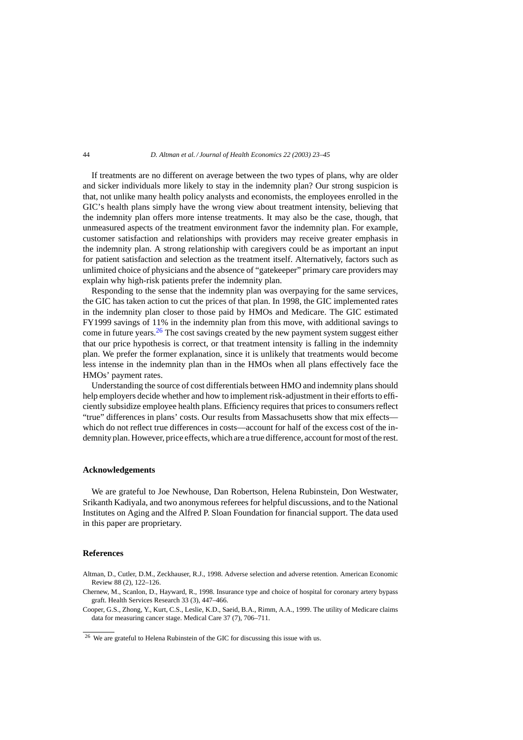<span id="page-21-0"></span>If treatments are no different on average between the two types of plans, why are older and sicker individuals more likely to stay in the indemnity plan? Our strong suspicion is that, not unlike many health policy analysts and economists, the employees enrolled in the GIC's health plans simply have the wrong view about treatment intensity, believing that the indemnity plan offers more intense treatments. It may also be the case, though, that unmeasured aspects of the treatment environment favor the indemnity plan. For example, customer satisfaction and relationships with providers may receive greater emphasis in the indemnity plan. A strong relationship with caregivers could be as important an input for patient satisfaction and selection as the treatment itself. Alternatively, factors such as unlimited choice of physicians and the absence of "gatekeeper" primary care providers may explain why high-risk patients prefer the indemnity plan.

Responding to the sense that the indemnity plan was overpaying for the same services, the GIC has taken action to cut the prices of that plan. In 1998, the GIC implemented rates in the indemnity plan closer to those paid by HMOs and Medicare. The GIC estimated FY1999 savings of 11% in the indemnity plan from this move, with additional savings to come in future years.<sup>26</sup> The cost savings created by the new payment system suggest either that our price hypothesis is correct, or that treatment intensity is falling in the indemnity plan. We prefer the former explanation, since it is unlikely that treatments would become less intense in the indemnity plan than in the HMOs when all plans effectively face the HMOs' payment rates.

Understanding the source of cost differentials between HMO and indemnity plans should help employers decide whether and how to implement risk-adjustment in their efforts to efficiently subsidize employee health plans. Efficiency requires that prices to consumers reflect "true" differences in plans' costs. Our results from Massachusetts show that mix effects which do not reflect true differences in costs—account for half of the excess cost of the indemnity plan. However, price effects, which are a true difference, account for most of the rest.

#### **Acknowledgements**

We are grateful to Joe Newhouse, Dan Robertson, Helena Rubinstein, Don Westwater, Srikanth Kadiyala, and two anonymous referees for helpful discussions, and to the National Institutes on Aging and the Alfred P. Sloan Foundation for financial support. The data used in this paper are proprietary.

#### **References**

- Altman, D., Cutler, D.M., Zeckhauser, R.J., 1998. Adverse selection and adverse retention. American Economic Review 88 (2), 122–126.
- Chernew, M., Scanlon, D., Hayward, R., 1998. Insurance type and choice of hospital for coronary artery bypass graft. Health Services Research 33 (3), 447–466.
- Cooper, G.S., Zhong, Y., Kurt, C.S., Leslie, K.D., Saeid, B.A., Rimm, A.A., 1999. The utility of Medicare claims data for measuring cancer stage. Medical Care 37 (7), 706–711.

<sup>26</sup> We are grateful to Helena Rubinstein of the GIC for discussing this issue with us.